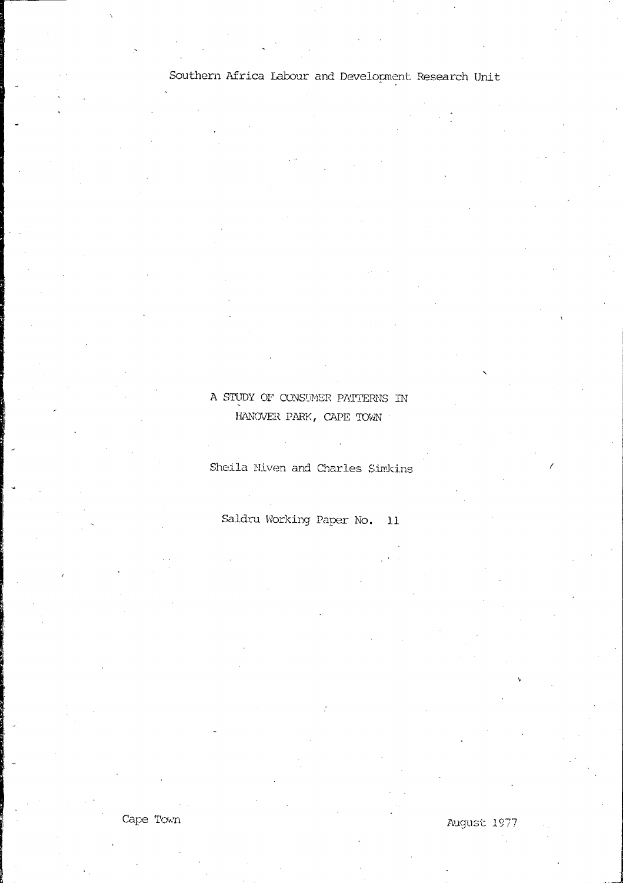# A STUDY OF CONSUMER PATTERNS IN HANOVER PARK, CAPE TOWN

Sheila Miven and Charles Simkins

Saldru Working Paper No. 11

Cape Town

August 1977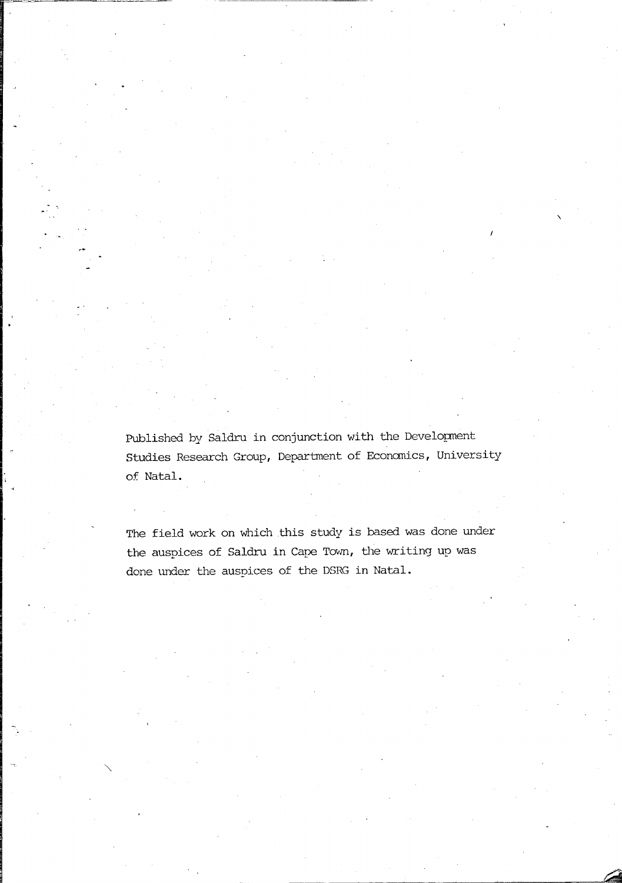Published by Saldru in conjunction with the Development Studies Research Group, Department of Economics, University of Natal.

The field work on which this study is based was done under the auspices of Saldru in Cape Town, the writing up was done under the auspices of the DSRG in Natal.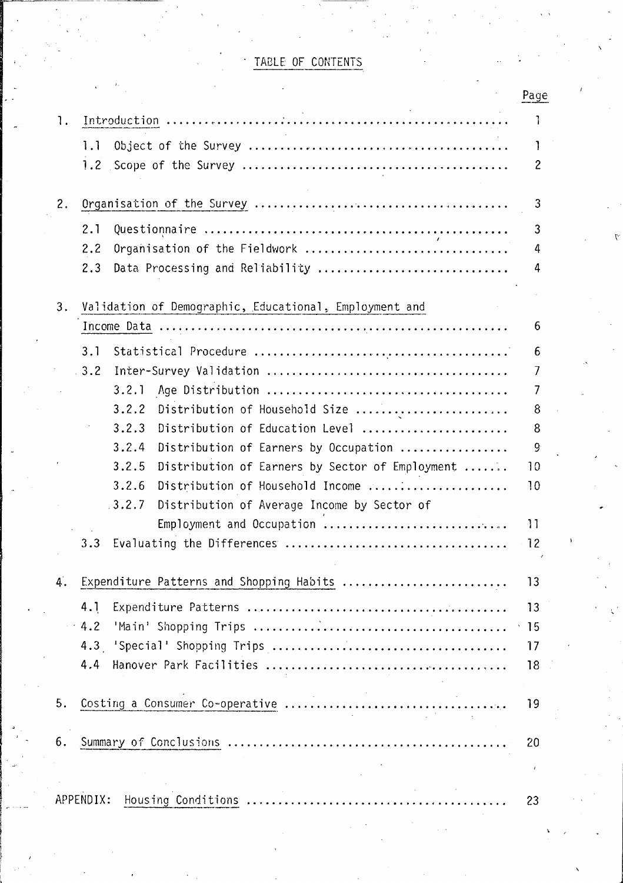# TABLE OF CONTENTS

|    |                                                            | Page             |
|----|------------------------------------------------------------|------------------|
| 1. |                                                            | $\mathbf{I}$     |
|    | 1.1                                                        | Ţ                |
|    |                                                            | $\overline{c}$   |
|    |                                                            |                  |
| 2. |                                                            | 3                |
|    | 2.1                                                        | 3                |
|    | Organisation of the Fieldwork<br>2.2                       | 4                |
|    | Data Processing and Reliability<br>2.3                     | 4                |
|    |                                                            |                  |
| 3. | Validation of Demographic, Educational, Employment and     |                  |
|    |                                                            | 6                |
|    | 3.1                                                        | 6                |
|    | .3.2                                                       | 7                |
|    | 3.2.1                                                      | 7                |
|    | 3.2.2<br>Distribution of Household Size                    | 8                |
|    | 3.2.3<br>Distribution of Education Level                   | 8                |
|    | 3.2.4<br>Distribution of Earners by Occupation             | 9                |
|    | 3, 2, 5<br>Distribution of Earners by Sector of Employment | 10               |
|    | 3.2.6<br>Distribution of Household Income                  | 10               |
|    | .3.2.7<br>Distribution of Average Income by Sector of      |                  |
|    | Employment and Occupation                                  | 11               |
|    | 3.3                                                        | 12               |
|    |                                                            |                  |
| 4. | Expenditure Patterns and Shopping Habits                   | 13               |
|    | 4.1                                                        | 13               |
|    | $-4.2$                                                     | $\cdot$ 15       |
|    |                                                            | 17               |
|    | 4.4                                                        | 18               |
|    |                                                            |                  |
| 5. |                                                            | 19               |
| 6. |                                                            | 20               |
|    |                                                            |                  |
|    |                                                            | $\boldsymbol{i}$ |
|    | APPENDIX:                                                  | 23               |
|    |                                                            |                  |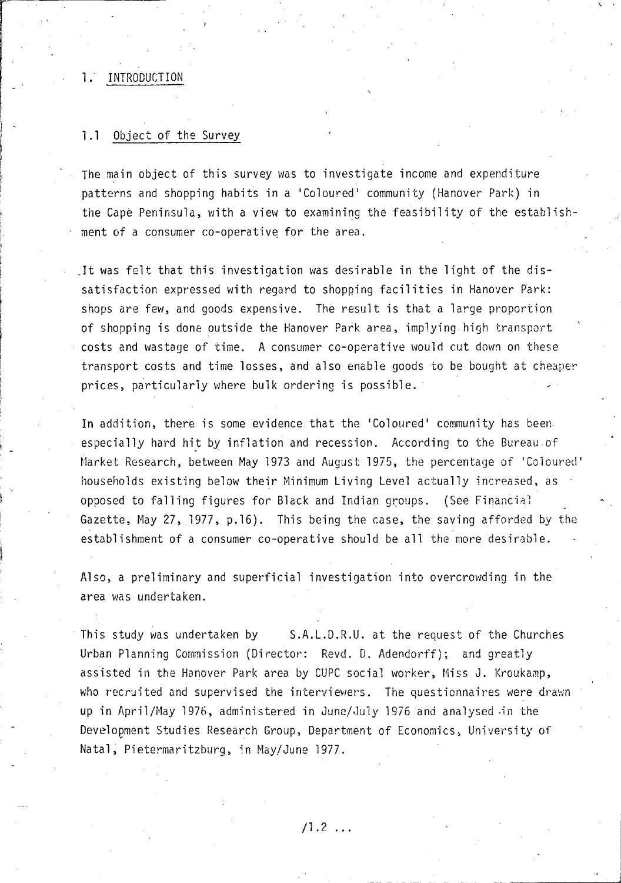## 1. INTRODUCTION

j - ,I

### 1.1 Object of the Survey

The main object of this survey was to investigate income and expenditure patterns and shopping habits in a 'Co1oured' community (Hanover Park) in the Cape Peninsula, with a view to examining the feasibility of the establishment of a consumer co-operative for the area.

 $\nabla \cdot \vec{r}$ 

j.

. It was felt that this investigation was desirable in the light of the dissatisfaction expressed with regard to shopping facilities in Hanover Park: shops are few, and goods expensive. The result is that a large proportion of shopping is done outside the Hanover Park area, implying high transport costs and wastage of time. A consumer co-operative would cut down on these transport costs and time losses, and also enable goods to be bought at cheaper prices, particularly where bulk ordering is possible.

In addition, there is some evidence that the 'Coloured' community has been. especially hard hit by inflation and recession. According to the Bureau of Market Research) between May 1973 and August 1975, the percentage of 'Coloured ' households existing below their Minimum Living Level actually increased, as . opposed to falling figures for Black and Indian groups. (See Financial Gazette, May 27, 1977, p.16). This being the case, the saving afforded by the establishment of a consumer co-operative should be all the more desirable.

Also, a preliminary and superficial investigation into overcrowding in the area was undertaken.

This study was undertaken by S.A.L.D.R.U. at the request of the Churches Urban Planning Commission (Director: Revd. D. Adendorff); and greatly assisted in the Hanover Park area by CUPC social worker, Miss J. Kroukamp, who recruited and supervised the interviewers. The questionnaires were drawn up in April/May 1976, administered in June/July 1976 and analysed in the Development Studies Research Group, Department of Economics, University of Natal, Pietermaritzburg, in May/June 1977.

 $/1.2$  ...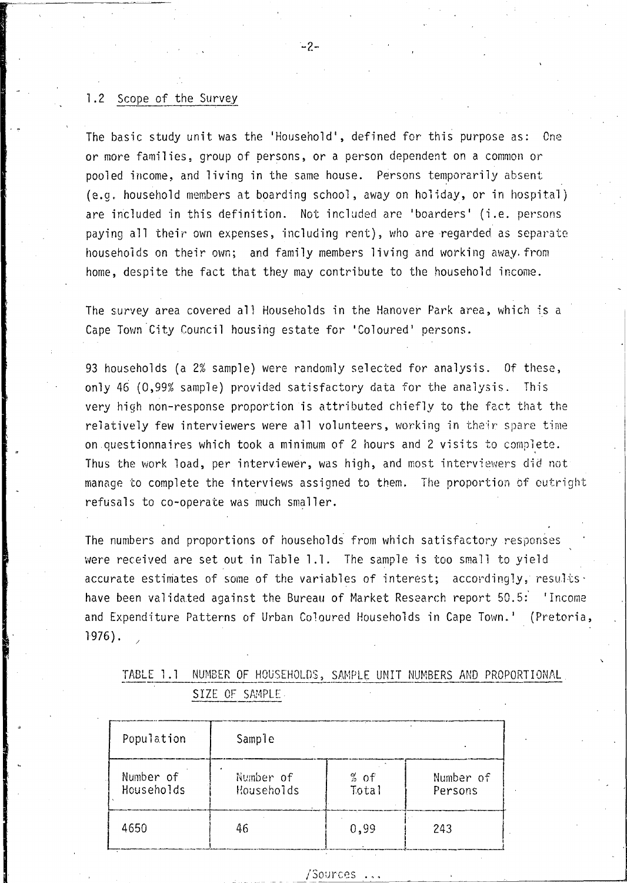#### $1.2$ Scope of the Survey

The basic study unit was the 'Household', defined for this purpose as: One or more families, group of persons, or a person dependent on a common or pooled income, and living in the same house. Persons temporarily absent (e.g. household members at boarding school, away on holiday, or in hospital) are included in this definition. Not included are 'boarders' (i.e. persons paying all their own expenses, including rent), who are regarded as separate households on their own; and family members living and working away, from home, despite the fact that they may contribute to the household income.

The survey area covered all Households in the Hanover Park area, which is a Cape Town City Council housing estate for 'Coloured' persons.

93 households (a 2% sample) were randomly selected for analysis. Of these, only 46 (0,99% sample) provided satisfactory data for the analysis. This very high non-response proportion is attributed chiefly to the fact that the relatively few interviewers were all volunteers, working in their spare time on questionnaires which took a minimum of 2 hours and 2 visits to complete. Thus the work load, per interviewer, was high, and most interviewers did not manage to complete the interviews assigned to them. The proportion of outright refusals to co-operate was much smaller.

The numbers and proportions of households from which satisfactory responses were received are set out in Table 1.1. The sample is too small to yield accurate estimates of some of the variables of interest; accordingly, results . have been validated against the Bureau of Market Research report 50.5: 'Income and Expenditure Patterns of Urban Coloured Households in Cape Town.' (Pretoria,  $1976$ .

|                | the course of the contract of the contract of the contract of the contract of the contract of the company of the contract of the contract of the contract of the contract of the contract of the contract of the contract of t |  | TABLE 1.1 NUMBER OF HOUSEHOLDS, SAMPLE UNIT NUMBERS AND PROPORTIONAL |
|----------------|--------------------------------------------------------------------------------------------------------------------------------------------------------------------------------------------------------------------------------|--|----------------------------------------------------------------------|
| SIZE OF SAMPLE |                                                                                                                                                                                                                                |  |                                                                      |

| Population              | Sample                  |                 |                      |
|-------------------------|-------------------------|-----------------|----------------------|
| Number of<br>Households | Number of<br>Households | $%$ of<br>Total | Number of<br>Persons |
| 4650                    | 46                      | 0,99            | 243                  |

#### /Sources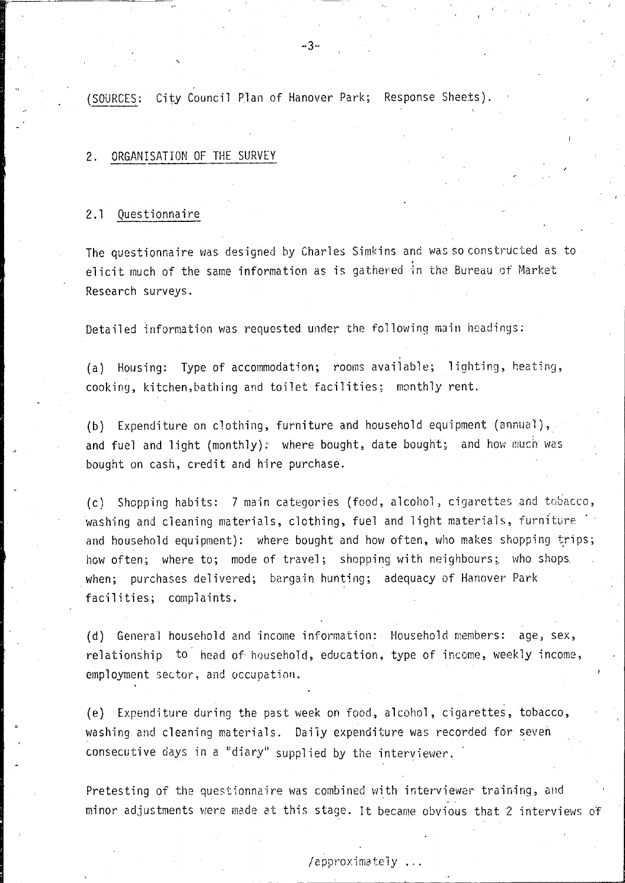(SOURCES; City Council Plan of Hanover Park; Response Sheets).

#### 2. ORGANISATION OF THE SURVEY

### 2.1 Questionnaire

The questionnaire was designed by Charles Simkins and was so constructed as to<br>elicit much of the same information as is gathered in the Bureau of Market Research surveys.

Detailed information was requested under the following main headings:

(a) Housing: Type of accommodation; rooms available; lighting, heating, cooking, kitchen,bathing and toilet facilities; monthly rent.

,

(b) Expenditure on clothing, furniture and household equipment (annual), and fuel and light (monthly): where bought, date bought; and how much was bought on cash, credit and hire purchase.

(c) Shopping habits: 7 main categories (food, alcohol, cigarettes and tobacco, washing and cleaning materials, clothing, fuel and light materials, furniture  $\Box$ and household equipment): where bought and how often, who makes shopping trips; how often; where to; mode of travel; shopping with neighbours; who shops when; purchases delivered; bargain hunting; adequacy of Hanover Park facilities; complaints.

(d) General household and income information: Household members: age, sex, relationship to head of household, education, type of income, weekly income, employment sector, and occupation.

(e) Expenditure during the past week on food, alcohol, cigarettes, tobacco, washing and cleaning materials. Daily expenditure was recorded for seven consecutive days in a "diary" supplied by the interviewer.

Pretesting of the questionnaire was combined with interviewer training, and minor adjustments were made at this stage. It became obvious that 2 interviews of

# /approximately ...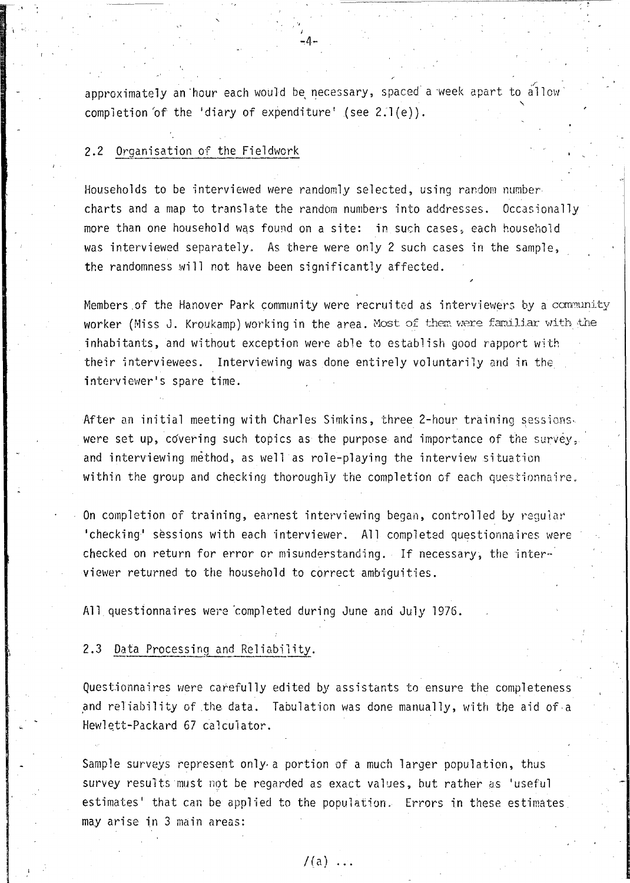approximately an hour each would be necessary, spaced a week apart to allow  $^{\circ}$ completion of the 'diary of expenditure' (see  $2.1(e)$ ).

-:4-

 $\sum_{i=1}^N \frac{1}{i!} \sum_{j=1}^N \frac{1}{j!} \sum_{j=1}^N \frac{1}{j!} \sum_{j=1}^N \frac{1}{j!} \sum_{j=1}^N \frac{1}{j!} \sum_{j=1}^N \frac{1}{j!} \sum_{j=1}^N \frac{1}{j!} \sum_{j=1}^N \frac{1}{j!} \sum_{j=1}^N \frac{1}{j!} \sum_{j=1}^N \frac{1}{j!} \sum_{j=1}^N \frac{1}{j!} \sum_{j=1}^N \frac{1}{j!} \sum_{j=1}^N \frac{1}{j!$ 

#### 2.2 Organisation of the Fieldwork

Households to be interviewed were randomly selected, using random number charts and a map to translate the random numbers into addresses. Occasionally more than one household was found on a site: in such cases, each household was interviewed separately. As there were only 2 such cases in the sample, the randomness will not have been significantly affected.

Members of the Hanover Park community were recruited as interviewers by a community worker (Miss J. Kroukamp) working in the area. Most of them were familiar with the inhabitants, and without exception were able to establish good rapport with their interviewees. Interviewing was done entirely voluntarily and in the. interviewer's spare time.

After an initial meeting with Charles Simkins, three 2-hour training sessionswere set up, covering such topics as the purpose and importance of the survey, and interviewing method, as well as role-playing the interview situation within the group and checking thoroughly the completion of each questionnaire.

On completion of training, earnest interviewing began, controlled by regular 'checking' sessions with each interviewer. All completed questionnaires were checked on return for error or misunderstanding. If necessary, the interviewer returned to the household to correct ambiguities.

All questionnaires were completed during June and July 1976.

#### 2.3 Data Processing and Reliability.

Questionnaires were carefully edited by assistants to ensure the completeness and reliability of the data. Tabulation was done manually, with the aid of a Hewlett-Packard 67 calculator.

Sample surveys represent only. a portion of a much larger population, thus survey results must not be regarded as exact values, but rather as 'useful estimates' that can be applied to the population. Errors in these estimates may arise in 3 main areas:

 $/(a)$  ...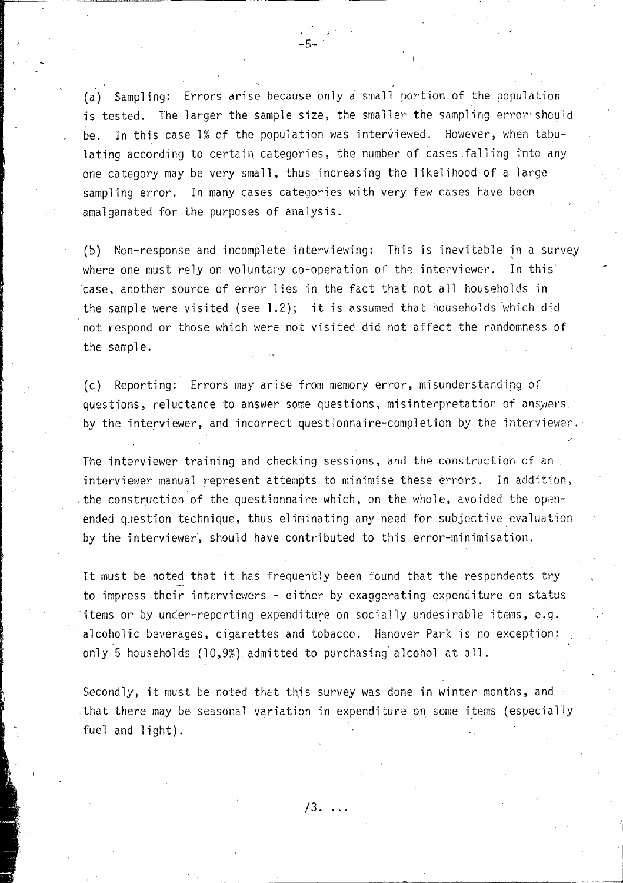(a) Sampling: Errors arise because only a small portion of the population is tested. The larger the sample size, the smaller the sampling error should be. In this case  $1\%$  of the population was interviewed. However, when tabulating according to certain categories, the number of cases falling into any one category may be very small, thus increasing the likelihood of a large sampling error. In many cases categories with very few cases have been amalgamated for the purposes of analysis.

 $-5 -$ 

(b) Non-response and incomplete interviewing: This is inevitable in a survey where one must rely on voluntary co-operation of the interviewer. In this case, another source of error lies in the fact that not all households in the sample were visited (see  $1.2$ ); it is assumed that households which did not respond or those which were not visited did not affect the randomness of the sample.

(c) Reporting: Errors may arise from memory error, misunderstanding of questions, reluctance to answer some questions, misinterpretation of answers. by the interviewer, and incorrect questionnaire-completion by the interviewer.

The interviewer training and checking sessions, and the construction of an interviewer manual represent attempts to minimise these errors. In addition, ,the construction of the questionnaire which, on the whole, avoided the openended question technique, thus eliminating any need for subjective evaluation by the interviewer, should have contributed to this error-minimisation.

It must be noted that it has frequently been found that the respondents try to impress their interviewers - either by exaggerating expenditure on status items or by under-reporting expenditure on socially undesirable items, e.g. alcoholic beverages, cigarettes and tobacco. Hanover Park is no exception: only 5 households (10,9%), admitted to purchasing' alcohol at all.

Secondly, it must be noted that this survey was done in winter months, and that there may be seasonal variation in expenditure on some items (especially fuel and light).

 $/3.$   $\ldots$ 

I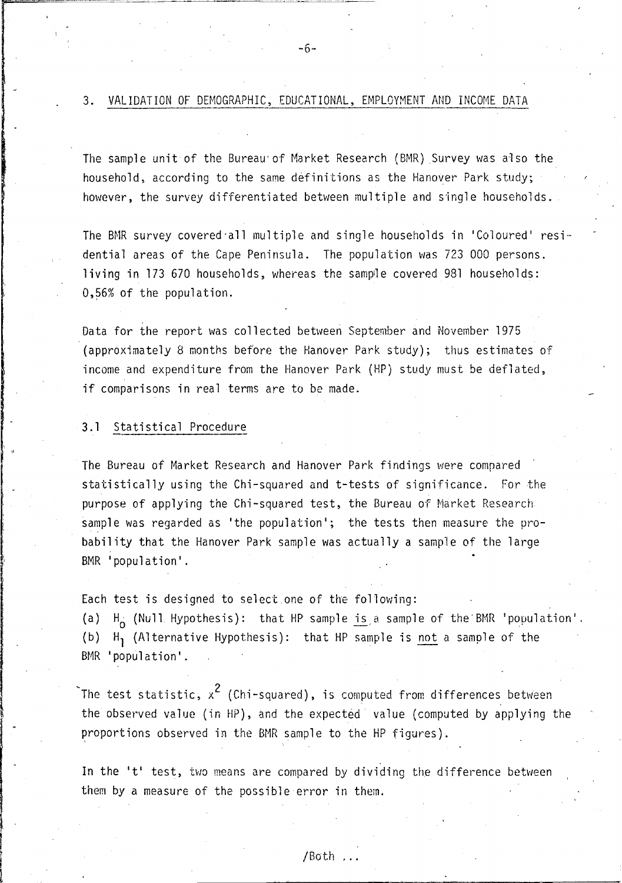3. VALIDATION OF DEMOGRAPHIC, EDUCATIONAL, EMPLOYMENT AND INCOME DATA

*<sup>r</sup>*-0-

The sample unit of the Bureau'of Market Research (BMR) Survey was also the household, according to the same definitions as the Hanover Park study; however, the survey differentiated between multiple and single households.

The BMR survey covered all multiple and single households in 'Coloured' residential areas of the Cape Peninsula. The population was 723 000 persons. living in 173 670 households, whereas the sample covered 981 households: 0,56% of the population.

Data for the report was collected between September and November 1975 (approximately 8 months before the Hanover Park study); thus estimates of income and expenditure from the Hanover Park (HP) study must be deflated, if comparisons in real terms are to be made.

### 3.1 Statistical Procedure

The Bureau of Market Research and Hanover Park findings were compared statistically using the Chi-squared and t-tests of significance. For the purpose of applying the Chi-squared test, the Bureau of Market Research sample was regarded as 'the population'; the tests then measure the probability that the Hanover Park sample was actually a sample of the large BMR 'population'.

Each test is designed to select one of the following:

(a)  $H_0$  (Null Hypothesis): that HP sample  $\frac{1}{2}$  is a sample of the BMR 'population'. (b) H, (Alternative Hypothesis): that HP sample is not a sample of the BMR 'population'.

The test statistic,  $\mathrm{x}^2$  (Chi-squared), is computed from differences between the observed value (in HP), and the expected value (computed by applying the proportions observed in the BMR sample to the HP figures)~

In the 't' test, two means are compared by dividing the difference between them by a measure of the possible error in them.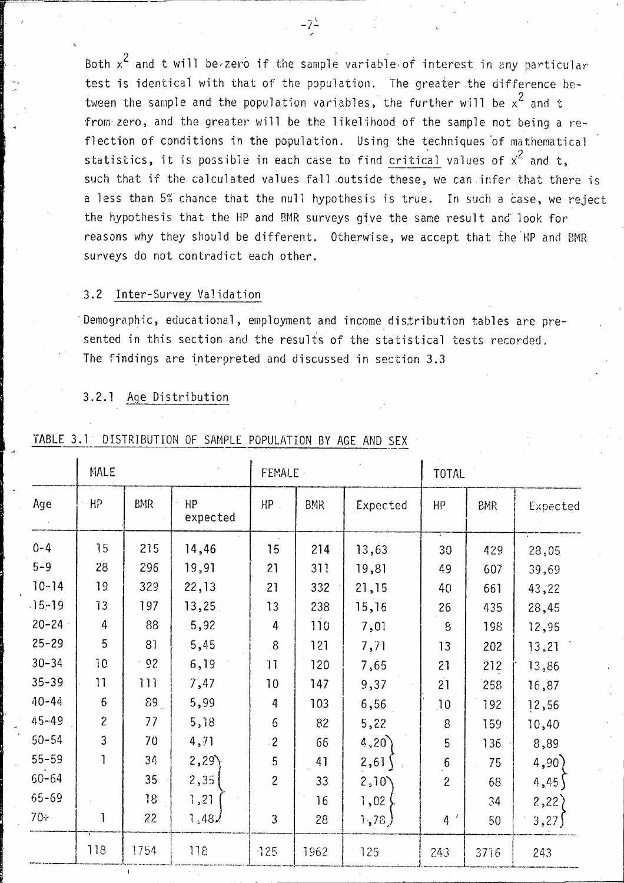Both  $x^2$  and t will be zero if the sample variable of interest in any particular test is identical with that of the population. The greater the difference between the sample and the population variables, the further will be  $x^2$  and t from zero, and the greater will be the likelihood of the sample not being a reflection of conditions in the population. Using the techniques of mathematical statistics, it is possible in each case to find critical values of  $x^2$  and t. such that if the calculated values fall outside these, we can infer that there is a less than 5% chance that the null hypothesis is true. In such a case, we reject the hypothesis that the HP and BMR surveys give the same result and look for reasons why they should be different. Otherwise, we accept that the HP and BMR surveys do not contradict each other.

#### Inter-Survey Validation  $3.2$

Demographic, educational, employment and income distribution tables are presented in this section and the results of the statistical tests recorded. The findings are interpreted and discussed in section 3.3

# 3.2.1 Age Distribution

|           | MALE           |            |                | <b>FEMALE</b>  |            |          | TOTAL                   |            |          |
|-----------|----------------|------------|----------------|----------------|------------|----------|-------------------------|------------|----------|
| Age       | HP             | <b>BMR</b> | HP<br>expected | $HP$ .         | <b>BMR</b> | Expected | HP.                     | <b>BMR</b> | Expected |
| $0 - 4$   | 15             | 215        | 14,46          | 15             | 214        | 13,63    | 30                      | 429        | 28,05    |
| $5 - 9$   | 28             | 296        | 19,91          | 21             | 311        | 19,81    | 49                      | 607        | 39,69    |
| $10 - 14$ | 19             | 329        | 22,13          | 21             | 332        | 21,15    | 40                      | 661        | 43,22    |
| $15 - 19$ | 13             | 197        | 13,25          | 13             | 238        | 15,16    | 26                      | 435        | 28,45    |
| $20 - 24$ | 4              | 88         | 5,92           | 4              | 110        | 7,01     | 8                       | 198        | 12,95    |
| $25 - 29$ | 5              | 81         | 5,45           | 8 <sub>1</sub> | 121        | 7,71     | 13                      | 202        | 13,21    |
| $30 - 34$ | 10             | $-92$      | 6,19           | 11             | 120        | 7,65     | 21                      | 212        | 13,86    |
| $35 - 39$ | 11             | 111        | 7,47           | 10             | 147        | 9,37     | 21                      | 258        | 16,87    |
| $40 - 44$ | $6\,$          | 89         | 5,99           | 4              | 103        | 6,56     | 10                      | 192        | 12,56    |
| $45 - 49$ | $\overline{c}$ | 77         | 5,18           | 6              | 82         | 5,22     | 8                       | 159        | 10,40    |
| $50 - 54$ | 3              | 70         | 4,71           | $\cdot$ 2      | 66         | 4,20     | 5                       | $136 -$    | 8,89     |
| $55 - 59$ | 1              | 34         | 2,29           | 5              | 41         | 2,61     | $\overline{\mathbf{6}}$ | 75         | 4,90     |
| $60 - 64$ |                | 35         | 2,35           | $\overline{c}$ | 33         | 2,10     | $\overline{c}$          | 68         | 4,45     |
| 65-69     |                | 18         | 1,21           |                | 16         | 1,02     |                         | 34         | 2,22     |
| $70+$     |                | 22         | 1,48/          | 3              | 28         | 1,78     | 4'                      | 50         | 3,27     |
|           | 118            | 1754       | 118            | 725            | 1962       | 125      | 243                     | 3716       | 243      |

#### DISTRIBUTION OF SAMPLE POPULATION BY AGE AND SEX TABLE 3.1

 $-7^{\circ}$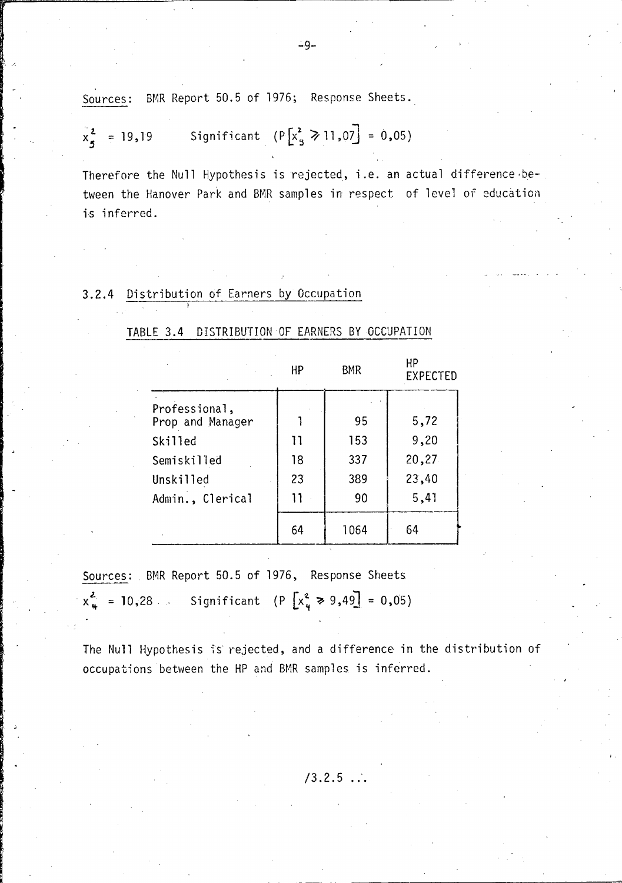Sources: BMR Report 50.5 of 1976; Response Sheets.

$$
x_5^2 = 19,19
$$
 Significant  $(P[x_5^2 \ge 11,07] = 0,05)$ 

Therefore the Null Hypothesis is 'rejected, i.e. an actual difference ·between the Hanover Park and BMR samples in respect of level of education is inferred.

# 3.2.4 Distribution of Earners by Occupation

# TABLE 3.4 DISTRIBUTION OF EARNERS BY OCCUPATION

|                                   | HР | <b>BMR</b> | НP<br><b>EXPECTED</b> |
|-----------------------------------|----|------------|-----------------------|
| Professional,<br>Prop and Manager |    | 95         | 5,72                  |
| Skilled                           | 11 | 153        | 9,20                  |
| Semiskilled                       | 18 | 337        | 20,27                 |
| Unskilled                         | 23 | 389        | 23,40                 |
| Admin., Clerical                  | 11 | 90         | 5,41                  |
|                                   | 64 | 1064       | 64                    |

Sources: BMR Report 50.5 of 1976, Response Sheets  $x_{4}^{2}$  = 10,28 Significant (P  $[x_{4}^{2} \ge 9,49] = 0,05$ )

The Null Hypothesis is rejected, and a difference in the distribution of occupations between the HP and BMR samples is inferred.

 $/3.2.5...$ 

--- ----- ~-------~-------------~~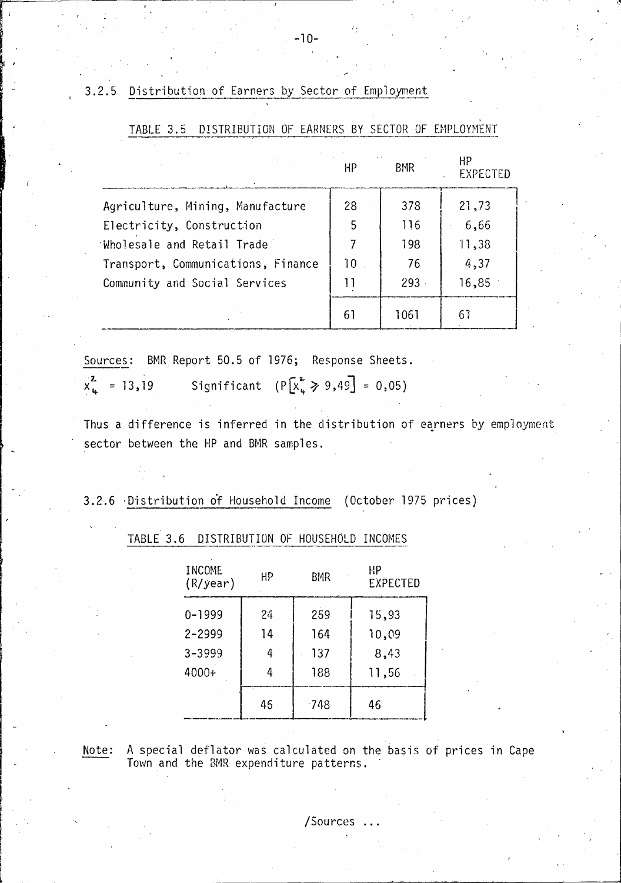Distribution of Earners by Sector of Employment  $3.2.5$ 

|                                    | HP     | $\sim$<br><b>BMR</b> | HP<br><b>EXPECTED</b> |
|------------------------------------|--------|----------------------|-----------------------|
| Agriculture, Mining, Manufacture   | 28     | 378                  | 21,73                 |
| Electricity, Construction          | 5      | 116                  | 6,66                  |
| Wholesale and Retail Trade         |        | 198                  | 11,38                 |
| Transport, Communications, Finance | $10-1$ | 76                   | 4,37                  |
| Community and Social Services      | 11     | 293                  | 16,85                 |
|                                    | 61     | 1061                 | 67                    |

TABLE 3.5 DISTRIBUTION OF EARNERS BY SECTOR OF EMPLOYMENT

Sources: BMR Report 50.5 of 1976; Response Sheets.

 $x_{u}^{2}$  = 13,19 Significant  $(P[x_{\varphi}^2 \ge 9, 49] = 0, 05)$ 

Thus a difference is inferred in the distribution of earners by employment sector between the HP and BMR samples.

# 3.2.6 Distribution of Household Income (October 1975 prices)

| INCOME<br>(R/year) | НP | BMR    | HР<br><b>EXPECTED</b> |
|--------------------|----|--------|-----------------------|
| $0 - 1999$         | 24 | 259    | 15,93                 |
| 2-2999             | 14 | 164    | 10,09                 |
| 3-3999             | 4  | 137    | 8,43                  |
| 4000+              | 4  | 188    | 11,56                 |
|                    | 46 | $-748$ | 46                    |

TABLE 3.6 DISTRIBUTION OF HOUSEHOLD INCOMES

A special deflator was calculated on the basis of prices in Cape Note: Town and the BMR expenditure patterns.

/Sources .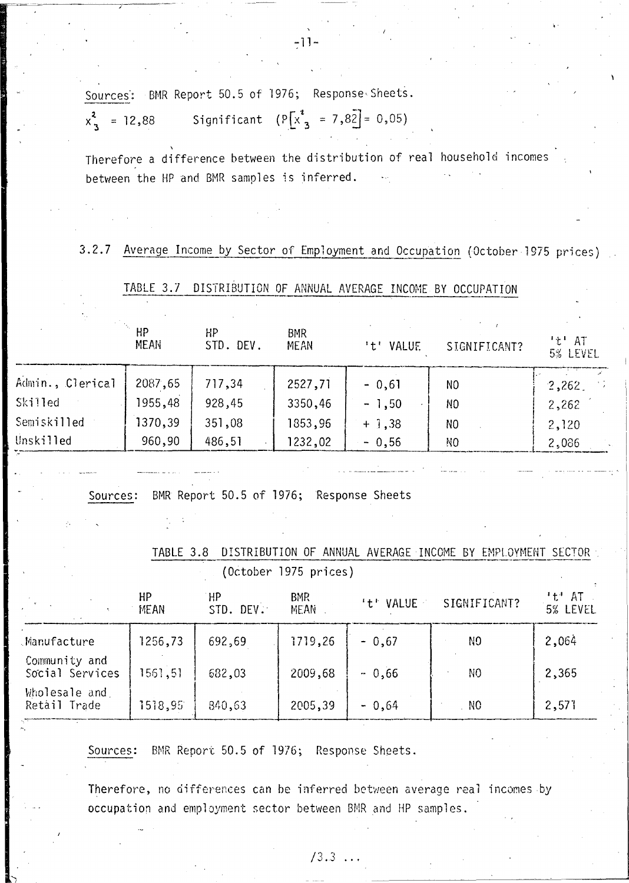Sources: BMR Report 50.5 of 1976; Response Sheets.

Significant  $(P[x_{3}^{i} = 7, 82] = 0, 05)$  $x_3^2$  = 12,88

Therefore a difference between the distribution of real household incomes between the HP and BMR samples is inferred.

#### $3.2.7$ Average Income by Sector of Employment and Occupation (October 1975 prices)

|                                     | <b>HP</b><br><b>MEAN</b> | <b>HP</b><br>STD. DEV.                   | <b>BMR</b><br>MEAN    | 't' VALUE | SIGNIFICANT?                                               | $1 + 1$<br>AT<br>5% LEVEL |
|-------------------------------------|--------------------------|------------------------------------------|-----------------------|-----------|------------------------------------------------------------|---------------------------|
| Admin., Clerical                    | 2087,65                  | 717,34                                   | 2527,71               | $-0,61$   | N <sub>0</sub>                                             | 2,262                     |
| Skilled                             | 1955,48                  | 928,45                                   | 3350,46               | $-1,50$   | NO                                                         | 2,262                     |
| Semiskilled                         | 1370,39                  | 351,08                                   | 1853,96               | $+$ 1,38  | NO.                                                        | 2,120                     |
| Unskilled                           | 960,90                   | 486,51                                   | 1232,02               | $-0,56$   | NO.                                                        | 2,086                     |
| Sources:<br>$\mathcal{L}_{\rm eff}$ |                          | BMR Report 50.5 of 1976; Response Sheets |                       |           |                                                            |                           |
|                                     | TABLE 3.8                |                                          | (October 1975 prices) |           | DISTRIBUTION OF ANNUAL AVERAGE INCOME BY EMPLOYMENT SECTOR |                           |
|                                     | HP<br><b>MEAN</b>        | HP<br>STD. DEV.                          | <b>BMR</b><br>MEAN    | 't' VALUE | SIGNIFICANT?                                               | 't' AT<br>5% LEVEL        |

DISTRIBUTION OF ANNUAL AVERAGE INCOME BY OCCUPATION TABLE 3.7

|                                  | HР<br><b>MEAN</b> | HP<br>STD. DEV. | <b>BMR</b><br><b>MEAN</b> | 't' VALUE | SIGNIFICANT?   | 't'AT<br>5% LEVEL |
|----------------------------------|-------------------|-----------------|---------------------------|-----------|----------------|-------------------|
| Manufacture                      | 1256,73           | 692,69          | 1719,26                   | $-0,67$   | N <sub>0</sub> | 2,064             |
| Community and<br>Social Services | 1561,51           | 682,03          | 2009,68                   | $-0,66$   | N <sub>0</sub> | 2,365             |
| Wholesale and<br>Retail Trade    | 1518,95           | 840,63          | 2005,39                   | $-0.64$   | $\overline{N}$ | 2,571             |

BMR Report 50.5 of 1976; Response Sheets. Sources:

Therefore, no differences can be inferred between average real incomes by occupation and employment sector between BMR and HP samples.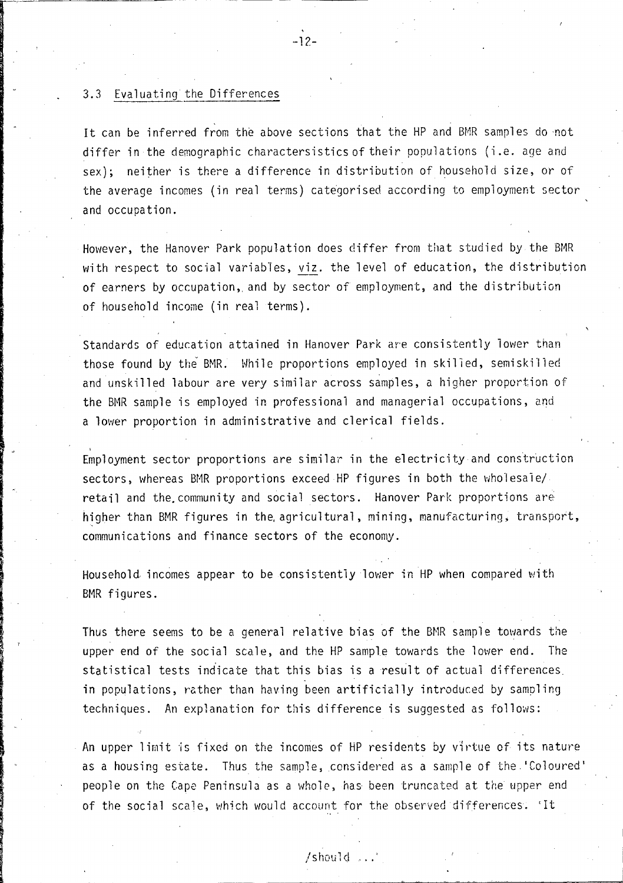### 3.3 Evaluating the Differences

It can be inferred from the above sections that the HP and BMR samples do not differ in the demographic charactersistics of their populations (i.e. age and sex); neither is there a difference in distribution of household size, or of the average incomes (in real terms) categorised according to employment sector and occupation.

However, the Hanover Park population does differ from that studied by the BMR with respect to social variables, viz. the level of education, the distribution of earners by occupation, and by sector of employment, and the distribution of household income (in real terms).

Standards of education attained in Hanover Park are consistently lower than those found by the BMR. While proportions employed in skilled, semiskilled and unskilled labour are very similar across samples, a higher proportion of the BMR sample is employed in professional and managerial occupations, and a lower proportion in administrative and clerical fields.

Employment sector proportions are similar in the electricity and construction sectors, whereas BMR proportions exceed HP figures in both the wholesale/ retail and the community and social sectors. Hanover Park proportions are higher than BMR figures in the agricultural, mining, manufacturing, transport, communications and finance sectors of the economy.

Household incomes appear to be consistently lower in HP when compared with BMR figures.

Thus there seems to be a general relative bias of the BMR sample towards the upper end of the social scale, and the HP sample towards the lower end. The statistical tests indicate that this bias is a result of actual differences in populations, rather than having been artificially introduced by sampling techniques. An explanation for this difference is suggested as follows:

An upper limit is fixed on the incomes of HP residents by virtue of its nature as a housing estate. Thus the sample, considered as a sample of the 'Coloured' people on the Cape Peninsula as a whole. has been truncated at the upper end of the social scale, which would account for the observed differences. 'It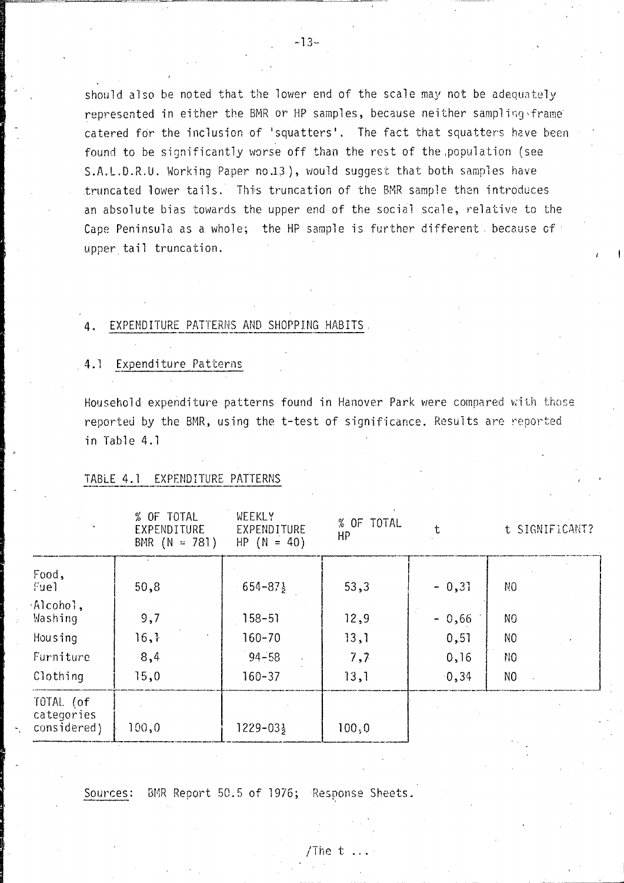should also be noted that the lower end of the scale may not be adequately represented in either the BMR or HP samples, because neither sampling frame catered for the inclusion of 'squatters'. The fact that squatters have been found to be significantly worse off than the rest of the population (see S.A.L.D.R.U. Working Paper no.13), would suggest that both samples have truncated lower tails. This truncation of the BMR sample then introduces an absolute bias towards the upper end of the social scale, relative to the Cape Peninsula as a whole; the HP sample is further different because of upper tail truncation.

### EXPENDITURE PATTERNS AND SHOPPING HABITS.

### 4.1 Expenditure Patterns

Household expenditure patterns found in Hanover Park were compared with those reported by the BMR, using the t-test of significance. Results are reported in Table 4.1

### TABLE 4.1 EXPENDITURE PATTERNS

|                                        | % OF TOTAL<br>EXPENDITURE<br>BMR $(N = 781)$ | WEEKLY<br>EXPENDITURE<br>$HP (N = 40)$ | % OF TOTAL<br>НP |         | t SIGNIFICANT? |
|----------------------------------------|----------------------------------------------|----------------------------------------|------------------|---------|----------------|
| Food,<br>Fuel                          | 50,8                                         | $654 - 87\frac{1}{2}$                  | 53,3             | $-0,31$ | N <sub>0</sub> |
| $\cdot$ Alcohol,<br>Washing            | 9,7                                          | $158 - 51$                             | 12,9             | $-0,66$ | N <sub>0</sub> |
| Housing                                | 16,                                          | $160 - 70$                             | 13,1             | 0,51    | N <sub>0</sub> |
| Furniture                              | 8,4                                          | $94 - 58$                              | 7,7              | 0, 16   | NO.            |
| Clothing                               | 15,0                                         | $160 - 37$                             | 13,1             | 0, 34   | N <sub>O</sub> |
| TOTAL (of<br>categories<br>considered) | 100,0                                        | $1229 - 03\frac{1}{2}$                 | 100, 0           |         |                |

Sources:

BMR Report 50.5 of 1976; Response Sheets.

/The t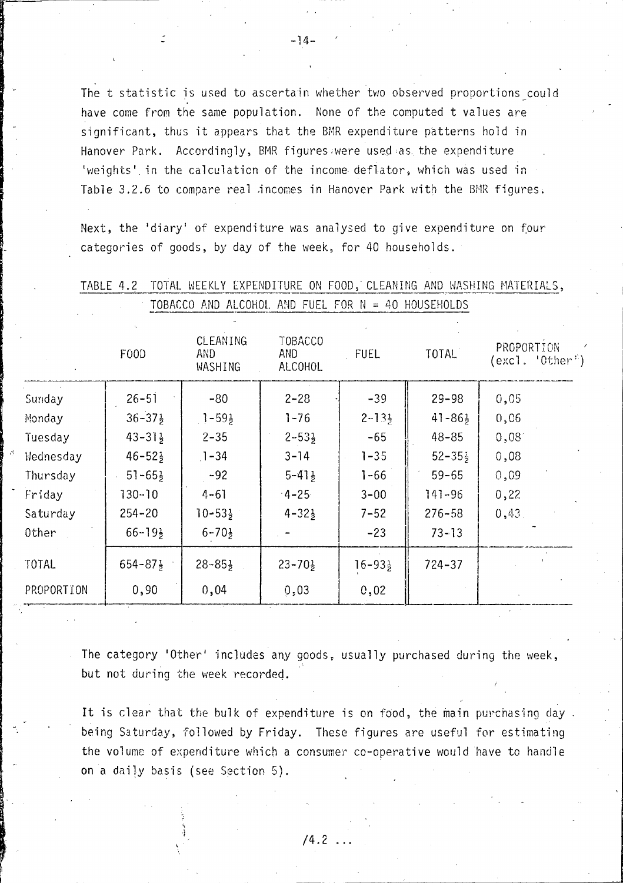The t statistic is used to ascertain whether two observed proportions could have come from the same population. None of the computed t values are significant, thus it appears that the BMR expenditure patterns hold in Hanover Park. Accordingly, BMR figures were used as the expenditure 'weights' in the calculation of the income deflator, which was used in Table 3.2.6 to compare real incomes in Hanover Park with the BMR figures.

Next, the 'diary' of expenditure was analysed to give expenditure on four categories of goods, by day of the week, for 40 households.

| F00D                              | <b>CLEANING</b><br>AND.<br>WASHING | <b>TOBACCO</b><br>AND.<br>ALCOHOL | <b>FUEL</b>          | <b>TOTAL</b>         | PROPORTION<br>(excl. 'Other') |
|-----------------------------------|------------------------------------|-----------------------------------|----------------------|----------------------|-------------------------------|
| $26 - 51$                         | $-80$                              | $2 - 28$                          | $-39$                | $29 - 98$            | 0,05                          |
| $36 - 37\frac{1}{2}$              | $1 - 59\frac{1}{2}$                | $1 - 76$                          | $2 - 13\frac{1}{2}$  | $41 - 86\frac{1}{2}$ | 0,06                          |
| $43 - 31\frac{1}{2}$              | $2 - 35$                           | $2 - 53\frac{1}{2}$               | $-65$                | $48 - 85$            | 0,08                          |
| Wednesday<br>$46 - 52\frac{1}{2}$ | $1 - 34$                           | $3 - 14$                          | $1 - 35$             | $52 - 35\frac{1}{2}$ | 0,08                          |
| $51 - 65\frac{1}{2}$              | $-92$                              | $5 - 41\frac{1}{2}$               | $1 - 66$             | $59 - 65$            | 0,09                          |
| 130-10                            | $4 - 61$                           | $-4 - 25$                         | $3 - 00$             | $141 - 96$           | 0,22                          |
| $254 - 20$                        | $10 - 53\frac{1}{2}$               | $4 - 32\frac{1}{2}$               | $7 - 52$             | $276 - 58$           | 0,43.                         |
| $66 - 19\frac{1}{2}$              | $6 - 70\frac{1}{2}$                |                                   | $-23$                | $73 - 13$            |                               |
| $654 - 87\frac{1}{2}$             | $28 - 85\frac{1}{2}$               | $23 - 70\frac{1}{2}$              | $16 - 93\frac{1}{2}$ | $724 - 37$           |                               |
| 0,90<br>PROPORTION                | 0,04                               | 0,03                              | 0,02                 |                      |                               |
|                                   |                                    |                                   |                      |                      |                               |

TABLE 4.2 TOTAL WEEKLY EXPENDITURE ON FOOD, CLEANING AND WASHING MATERIALS, TOBACCO AND ALCOHOL AND FUEL FOR N = 40 HOUSEHOLDS

The category 'Other' includes any goods, usually purchased during the week, but not during the week recorded.

It is clear that the bulk of expenditure is on food, the main purchasing day. being Saturday, followed by Friday. These figures are useful for estimating the volume of expenditure which a consumer co-operative would have to handle **on** a daily basis (see Section 5).

 $/4.2$  ...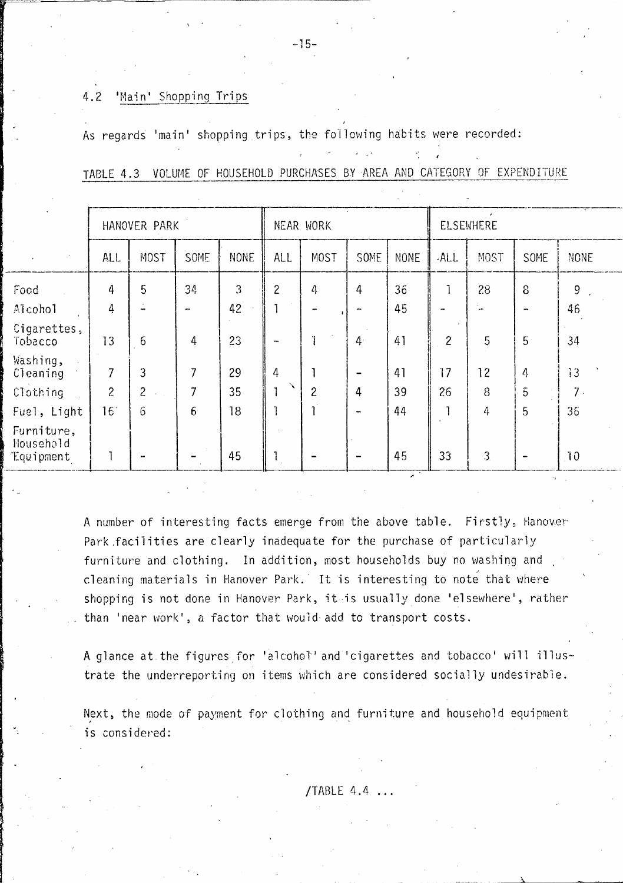#### 'Main' Shopping Trips  $4.2$

As regards 'main' shopping trips, the following habits were recorded:

|  |  |  |  |  |  |  |  |  |  | TABLE 4.3 VOLUME OF HOUSEHOLD PURCHASES BY AREA AND CATEGORY OF EXPENDITURE |
|--|--|--|--|--|--|--|--|--|--|-----------------------------------------------------------------------------|
|--|--|--|--|--|--|--|--|--|--|-----------------------------------------------------------------------------|

|                                      | HANOVER PARK    |                |           |             | NEAR WORK    |                |                | <b>ELSEWHERE</b> |                |                |                |                 |
|--------------------------------------|-----------------|----------------|-----------|-------------|--------------|----------------|----------------|------------------|----------------|----------------|----------------|-----------------|
|                                      | <b>ALL</b>      | MOST           | SOME      | <b>NONE</b> | <b>ALL</b>   | MOST           | SOME           | <b>NONE</b>      | .ALL           | MOST           | <b>SOME</b>    | <b>NONE</b>     |
| Food                                 | 4               | 5              | 34        | 3           | $\mathbf{2}$ | 4              | $\overline{4}$ | 36               |                | 28             | 8              | 9               |
| Aicohol                              | 4               |                | $\bullet$ | 42          |              |                |                | 45               |                | $\overline{a}$ | $\mathbf{u}$   | 46              |
| Cigarettes,<br>Tobacco               | 13              | 6              | 4         | 23          | $\mathbf{r}$ |                | $4 -$          | 41               | $\overline{c}$ | 5              | 5              | 34              |
| Washing,<br>Cleaning                 | 7               | 3              |           | 29          | 4            |                |                | 41               | 17             | 12             | 4              | 13              |
| Clothing                             | $\overline{c}$  | $\overline{c}$ |           | 35          |              | $\overline{c}$ | 4              | 39               | 26             | 8              | $\overline{5}$ | 7 <sup>2</sup>  |
| Fuel, Light                          | 16 <sup>°</sup> | 6              | 6         | 18          |              |                | yar.           | 44               |                | 4              | 5              | 36              |
| Furniture,<br>Household<br>Equipment |                 |                |           | 45          |              |                |                | 45               | 33             | $\overline{3}$ |                | 10 <sub>1</sub> |

A number of interesting facts emerge from the above table. Firstly, Hanover Park facilities are clearly inadequate for the purchase of particularly furniture and clothing. In addition, most households buy no washing and cleaning materials in Hanover Park. It is interesting to note that where shopping is not done in Hanover Park, it is usually done 'elsewhere', rather than 'near work', a factor that would add to transport costs.

A glance at the figures for 'alcohol' and 'cigarettes and tobacco' will illustrate the underreporting on items which are considered socially undesirable.

Next, the mode of payment for clothing and furniture and household equipment is considered:

 $-15-$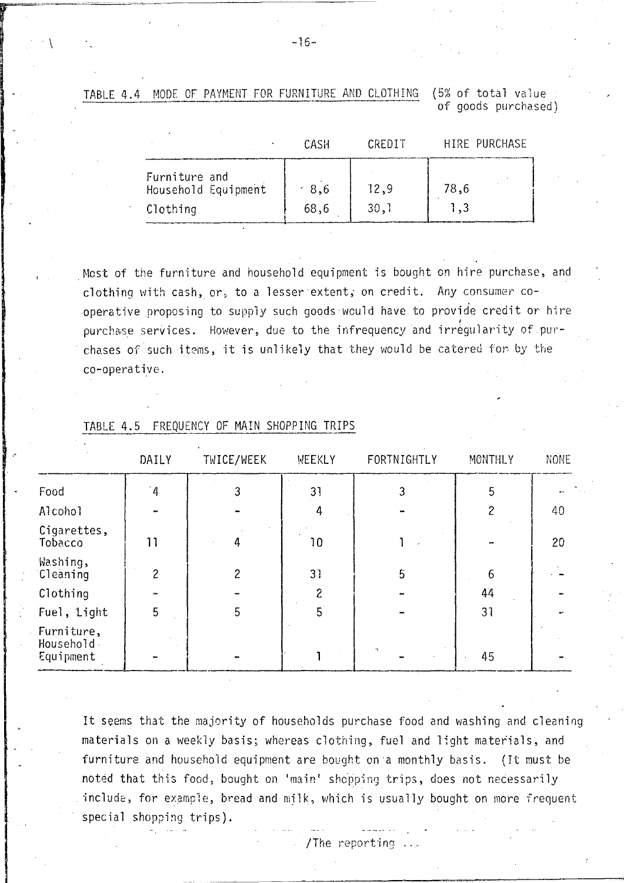MODE OF PAYMENT FOR FURNITURE AND CLOTHING (5% of total value) TABLE 4.4

of goods purchased)

|                                                  | CASH           | CREDIT       | HIRE PURCHASE |
|--------------------------------------------------|----------------|--------------|---------------|
| Furniture and<br>Household Equipment<br>Clothing | $-8,6$<br>68,6 | 12,9<br>30,1 | 78,6<br>1,3   |

Most of the furniture and household equipment is bought on hire purchase, and clothing with cash, or, to a lesser extent, on credit. Any consumer cooperative proposing to supply such goods would have to provide credit or hire purchase services. However, due to the infrequency and irregularity of purchases of such items, it is unlikely that they would be catered for by the co-operative.

|                                        | DAILY          | TWICE/WEEK | <b>WEEKLY</b> | FORTNIGHTLY | MONTHLY | NONE |
|----------------------------------------|----------------|------------|---------------|-------------|---------|------|
| Food                                   | $\sim$         | 3          | 31            | 3           | 5       |      |
| Alcohol                                |                |            | 4             |             | 2       | 40   |
| Cigarettes,<br>Tobacco                 | 11             | 4          | 10            |             |         | 20   |
| Washing,<br>Cleaning                   | $\overline{c}$ | 2          | 31            | 5           | 6       |      |
| Clothing                               |                |            | 2             |             | 44      |      |
| Fuel, Light                            | 5              | 5          | 5             |             | 31      |      |
| Furniture,<br>Household -<br>Equipment |                |            |               |             | 45      |      |

#### TABLE 4.5 FREQUENCY OF MAIN SHOPPING TRIPS

It seems that the majority of households purchase food and washing and cleaning materials on a weekly basis; whereas clothing, fuel and light materials, and furniture and household equipment are bought on a monthly basis. (It must be noted that this food, bought on 'main' shopping trips, does not necessarily include, for example, bread and milk, which is usually bought on more frequent special shopping trips).

/The reporting

 $-16-$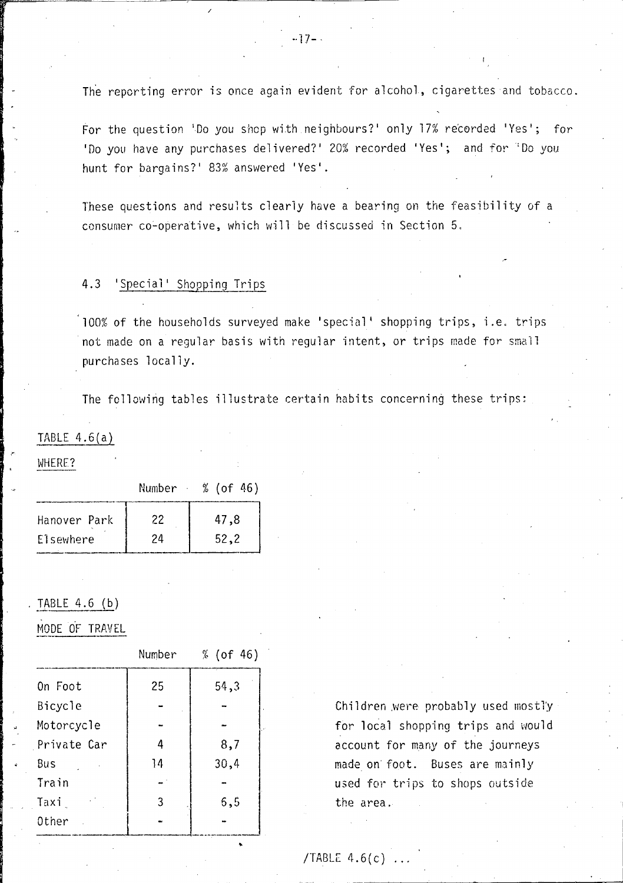The reporting error is once again evident for alcohol, cigarettes and tobacco.

For the question 'Do you shop with neighbours?' only 17% recorded 'Yes'; for 'Do you have any purchases delivered?' 20% recorded 'Yes'; and for "Do you hunt for bargains?' 83% answered 'Yes'.

These questions and results clearly have a bearing on the feasibility of a consumer co-operative, which will be discussed in Section 5.

# 4.3 'Special' Shopping Trips

/

100% of the households surveyed make 'special' shopping trips, i.e. trips not made on a regular basis with regular intent, or trips made for small purchases locally.

The following tables illustrate certain habits concerning these trips:

### TABLE  $4.6(a)$

#### WHERE?

"

|              | Number | % (of 46) |
|--------------|--------|-----------|
| Hanover Park | 22     | 47,8      |
| Elsewhere    | 24     | 52.2      |

### TABLE  $4.6$  (b)

MODE OF TRAVEL

|             | Number | % (of 46) |
|-------------|--------|-----------|
| On Foot     | 25     | 54,3      |
| Bicycle     |        |           |
| Motorcycle  |        |           |
| Private Car | Δ      | 8,7       |
| Bus         | 14     | 30,4      |
| Train       |        |           |
| Taxi        | 3      | 5,5       |
| Other       |        |           |
|             |        |           |

Children were probably used mostly for local shopping trips and would account for many of the journeys made on' foot. Buses are mainly used for trips to shops outside the area.

/TABLE  $4.6(c)$ .

..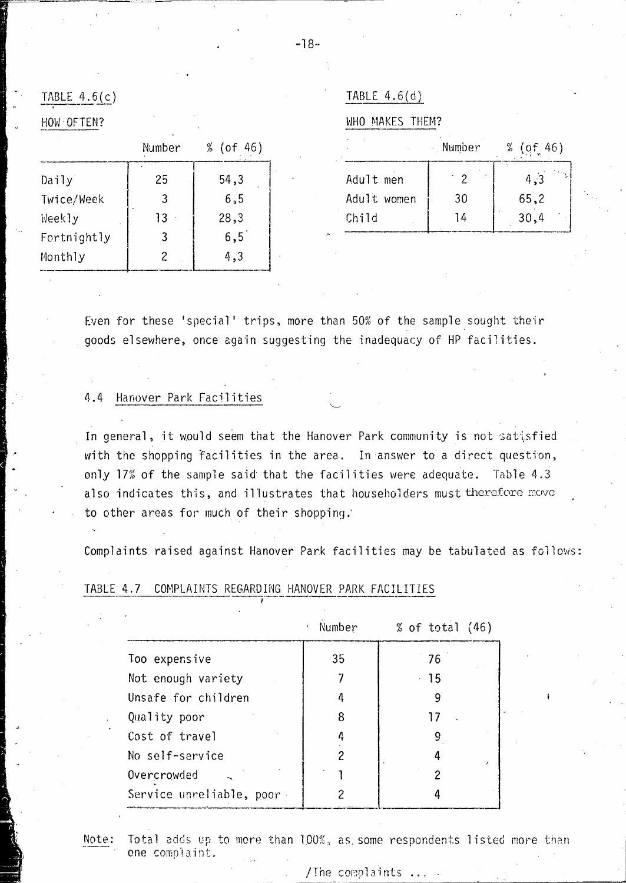TABLE  $4.6(c)$ 

HOW OFTEN?

|             | Number | % (of 46) |  |
|-------------|--------|-----------|--|
| Daily       | 25     | 54,3      |  |
| Twice/Week  | 3      | 6, 5      |  |
| Weekly      | 13     | 28,3      |  |
| Fortnightly | 3      | 6,5       |  |
| Monthly     | 2      | 4,3       |  |

| IBI F | ۰. |
|-------|----|
|       |    |

WHO MAKES THEM?

Number  $% (of 46)$ Adult men  $\degree$  2  $4,3$ Adult women 30  $65,2$ Child 14  $30,4$ 

Even for these 'special' trips, more than 50% of the sample sought their goods elsewhere, once again suggesting the inadequacy of HP facilities.

#### Hanover Park Facilities  $4.4$

In general, it would seem that the Hanover Park community is not satisfied with the shopping facilities in the area. In answer to a direct question, only 17% of the sample said that the facilities were adequate. Table 4.3 also indicates this, and illustrates that householders must therefore move to other areas for much of their shopping.

Complaints raised against Hanover Park facilities may be tabulated as follows:

|                            | Number<br>۰ | % of total $(46)$ |
|----------------------------|-------------|-------------------|
| Too expensive              | 35          | 76                |
| Not enough variety         |             | -15               |
| Unsafe for children        | 4           | 9                 |
| Quality poor               | 8           |                   |
| Cost of travel             | 4           | 9                 |
| No self-service            |             |                   |
| Overcrowded                |             |                   |
| Service unreliable, poor - |             |                   |

#### TABLE 4.7 COMPLAINTS REGARDING HANOVER PARK FACILITIES

Note:

Total adds up to more than 100%, as some respondents listed more than one complaint.

#### /The complaints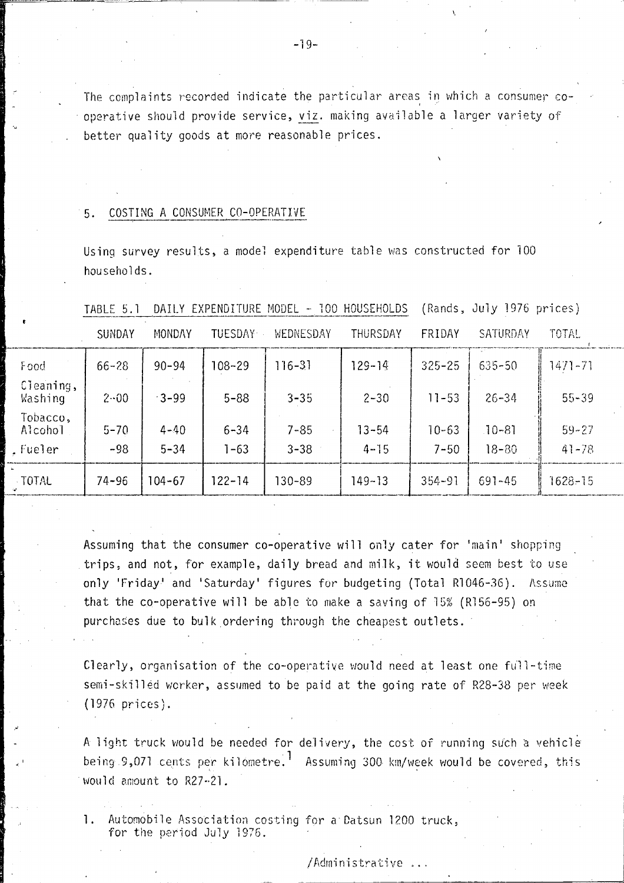The complaints recorded indicate the particular areas in which a consumer cooperative should provide service, viz. making available a larger variety of better quality goods at more reasonable prices.

#### COSTING A CONSUMER CO-OPERATIVE 5.

Using survey results, a model expenditure table was constructed for 100 households.

|                                                       | <b>SUNDAY</b>     | MONDAY               | <b>TUESDAY</b>       | WEDNESDAY            | <b>THURSDAY</b>       | FRIDAY                | SATURDAY               | TOTAL                  |  |
|-------------------------------------------------------|-------------------|----------------------|----------------------|----------------------|-----------------------|-----------------------|------------------------|------------------------|--|
| bod                                                   | $66 - 28$         | $90 - 94$            | $108 - 29$           | $116 - 31$           | $129 - 14$            | $325 - 25$            | $635 - 50$             | $1471 - 71$            |  |
| $\mathop{\mathfrak{sl}}\nolimits$ eaning,<br>lashing. | $2 - 00$          | $-3-99$              | $5 - 88$             | $3 - 35$             | $2 - 30$              | $11 - 53$             | $26 - 34$              | $55 - 39$              |  |
| obacco,<br>\lcohol<br>ueler                           | $5 - 70$<br>$-98$ | $4 - 40$<br>$5 - 34$ | $6 - 34$<br>$1 - 63$ | $7 - 85$<br>$3 - 38$ | $13 - 54$<br>$4 - 15$ | $10 - 63$<br>$7 - 50$ | $10 - 81$<br>$18 - 80$ | $59 - 27$<br>$41 - 78$ |  |
| <b>TOTAL</b>                                          | $74 - 96$         | 104-67               | $122 - 14$           | 130-89               | 149~13                | $354 - 91$            | $691 - 45$             | $1628 - 15$            |  |

TABLE 5.1 DAILY EXPENDITURE MODEL - 100 HOUSEHOLDS (Rands, July 1976 prices)

Assuming that the consumer co-operative will only cater for 'main' shopping trips, and not, for example, daily bread and milk, it would seem best to use only 'Friday' and 'Saturday' figures for budgeting (Total R1046-36). Assume that the co-operative will be able to make a saving of 15% (R156-95) on purchases due to bulk ordering through the cheapest outlets.

Clearly, organisation of the co-operative would need at least one full-time semi-skilled worker, assumed to be paid at the going rate of R28-38 per week  $(1976 \text{ prices}).$ 

A light truck would be needed for delivery, the cost of running such a vehicle being 9,071 cents per kilometre.<sup>1</sup> Assuming 300 km/week would be covered, this would amount to R27-21.

1. Automobile Association costing for a Datsun 1200 truck, for the period July 1976.

/Administrative ...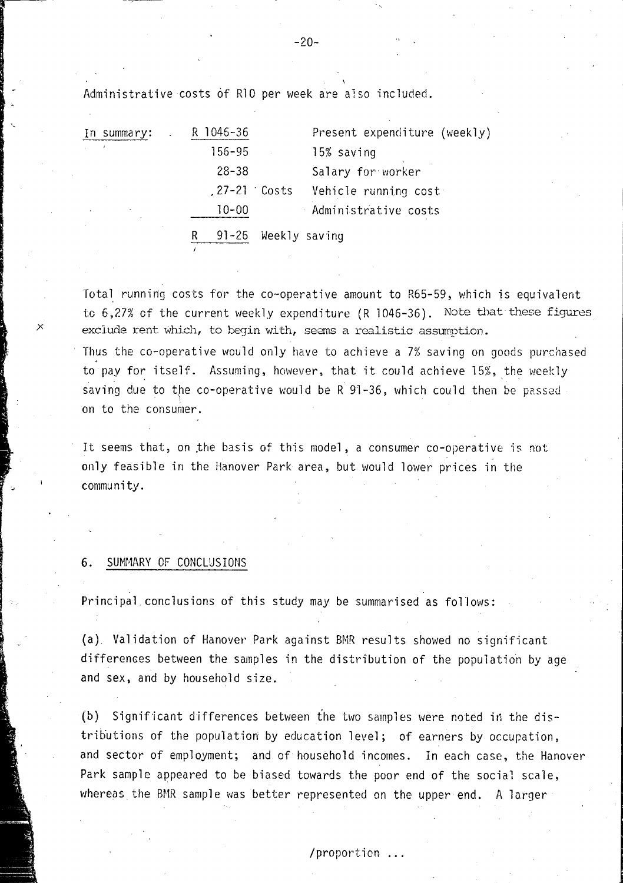Administrative costs 6f R10 per week are also included.

|                           | In summary: | R 1046-36      |               | Present expenditure (weekly) |
|---------------------------|-------------|----------------|---------------|------------------------------|
| $\mathbf{r} = \mathbf{r}$ |             | 156-95         |               | 15% saving                   |
|                           |             | $28 - 38$      |               | Salary for worker            |
|                           |             | $.27-21$ Costs |               | Vehicle running cost         |
|                           | $\sim$      | $10 - 00$      |               | Administrative costs         |
|                           |             | 91–26          | Weekly saving |                              |

Total running costs for the co-operative amount to R65-59, which is equivalent to  $6,27\%$  of the current weekly expenditure (R 1046-36). Note that these figures exclude rent which, to begin with, seems a realistic assumption.

Thus the co-operative would only have to achieve a 7% saving on goods purchased to pay for itself. Assuming, however, that it could achieve 15%, the weekly saving due to the co-operative would be R  $91-36$ , which could then be passed on to the consumer.

It seems that, on the basis of this model, a consumer co-operative is not only feasible in the Hanover Park area, but would lower prices in the community.

#### **6.** SUMMARY OF CONCLUSIONS

"

Principal conclusions of this study may be summarised as follows:

(a) Validation of Hanover Park against BMR results showed no significant differences between the samples in the distribution of the population by age and sex, and by household size.

(b) Significant differences between ihe two samples were noted in the distributions of the population by education level; of earners by occupation, and sector of employment; and of household incomes. In each case, the Hanover Park sample appeared to be biased towards the poor end of the social scale, whereas the BMR sample was better represented on the upper end. A larger

#### -20-

/ .... proporL,lon **...**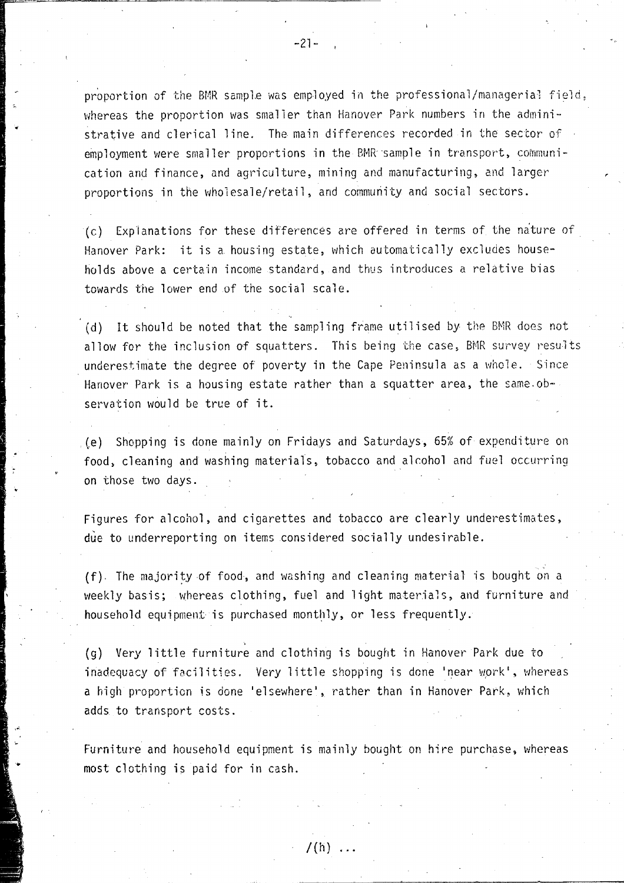proportion of the BMR sample was employed in the professional/managerial field, whereas the proportion was smaller than Hanover Park numbers in the administrative and clerical line. The main differences recorded in the sector of  $\beta$ employment were smaller proportions in the BMR sample in transport, communication and finance, and agriculture, mining and manufacturing, and larger proportions in the wholesale/retail, and community and social sectors.

(c) Explanations for these differences are offered in terms of the niture of Hanover Park: it is a. housing estate, which automatically excludes households above a certain income standard, and thus introduces a relative bias towards the lower end of the social scale.

(d) It should be noted that the sampling frame utilised by the BMR does not allow for the inclusion of squatters. This being the case, BMR survey results underestimate the degree of poverty in the Cape Peninsula as a whole. Since Hanover Park is a housing estate rather than a squatter area, the same observation would be true of it.

(e) Shopping is done mainly on Fridays and Saturdays, 65% of expenditure on food, cleaning and washing materials, tobacco and alcohol and fuel occurring on those two days.

Figures for alcohol, and cigarettes and tobacco are clearly underestimates, due to underreporting on items considered socially undesirable.

(f). The majority of food, and washing and cleaning material is bought on a weekly basis; whereas clothing, fuel and light materials, and furniture and household equipment is purchased monthly, or less frequently.

(9) Very little furniture and clothing is bought in Hanover' Park due to inadequacy of facilities. Very little shopping is done 'near work', whereas a high proportion is done 'elsewhere', rather than in Hanover Park, which adds to transport costs .

Furniture and household equipment is mainly bought on hire purchase, whereas most clothing is paid for in cash.

... ,

..

 $/(h)$  ...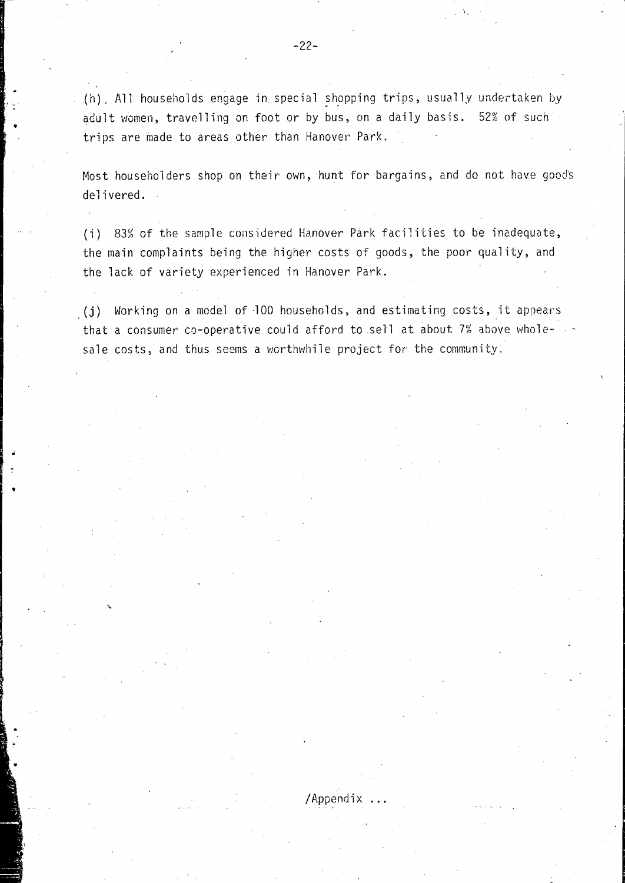(h), All households engage in special shopping trips, usually undertaken by adult women, travelling on foot or by bus, on a daily basis. 52% of such trips are made to areas other than Hanover Park.

Most householders shop on their own, hunt for bargains, and do not have goods delivered.

(i) 83% of the sample considered Hanover Park facilities to be inadequate, the main complaints being the higher costs of goods, the poor quality, and the lack of variety experienced in Hanover Park.

. (j) Working on a model of 100 households. and estimating costs, it appears that a consumer co-operative could afford to sell at about  $7%$  above whole- $\rightarrow$ sale costs, and thus seems a wcrthwhile project for the community .

/ Append i x

•

•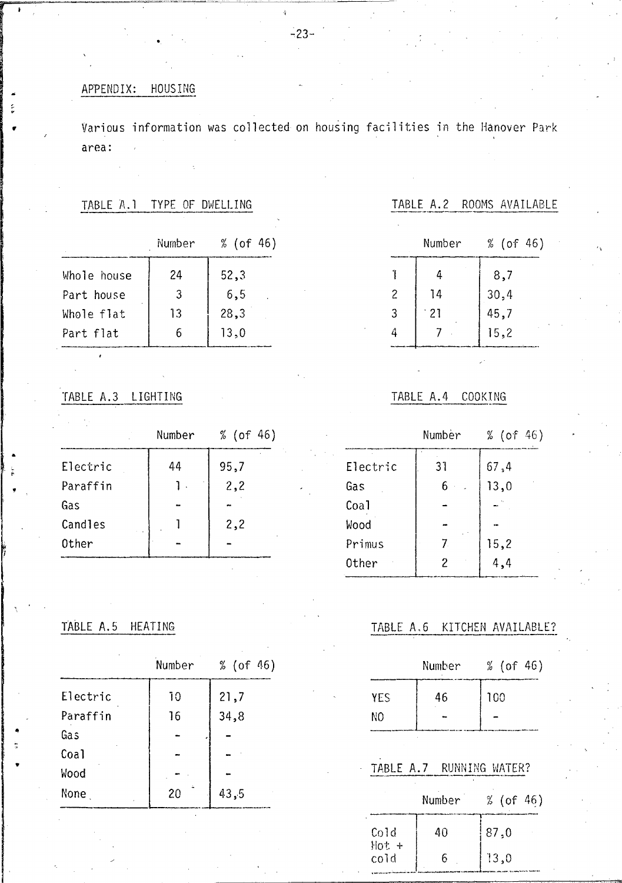# APPENDIX: HOUSING

Various information was collected on housing facilities in the Hanover Park area:

# TABLE A.1 TYPE OF DWELLING

|             | Number | % (of 46) |
|-------------|--------|-----------|
| Whole house | 24     | 52,3      |
| Part house  | 3      | 6, 5      |
| Whole flat  | 13     | 28,3      |
| Part flat   | 6      | 13,0      |

TABLE A.2 ROOMS AVAILABLE

|   | Number | % (of 46) |
|---|--------|-----------|
|   | 4      | 8,7       |
| 2 | 14     | 30,4      |
| 3 | $-21$  | 45,7      |
| 4 |        | 15,2      |
|   |        |           |

# TABLE A.3 LIGHTING

|          | Number | % (of 46) |  |  |  |
|----------|--------|-----------|--|--|--|
| Electric | 44     | 95,7      |  |  |  |
| Paraffin |        | 2,2       |  |  |  |
| Gas      |        |           |  |  |  |
| Candles  |        | 2,2       |  |  |  |
| Other    |        |           |  |  |  |

# TABLE A.4 COOKING

|          | Number | % (of 46) |
|----------|--------|-----------|
| Electric | 31     | 67,4      |
| Gas      | 6      | 13,0      |
| Coal     |        |           |
| Wood     |        |           |
| Primus   | 7.     | 15,2      |
| Other    | 2      | 4,4       |
|          |        |           |

# TABLE A.5 HEATING

|          | Number | % (of 46) |
|----------|--------|-----------|
| Electric | 10     | 21,7      |
| Paraffin | 16     | 34,8      |
| Gas      |        |           |
| Coal     |        |           |
| Wood     |        |           |
| None     | 20     | 43,5      |

# TABLE A.6 KITCHEN AVAILABLE?

|            | Number | % (of $46$ ) |  |  |  |
|------------|--------|--------------|--|--|--|
| <b>YES</b> | 46     | 100          |  |  |  |
| NΩ         |        |              |  |  |  |

#### TABLE A.7 RUNNING WATER?

|                   | Number | (of 46) |
|-------------------|--------|---------|
| $\cot$<br>$Hot +$ | 40     | 87,0    |
| cold              | h      | 13,0    |